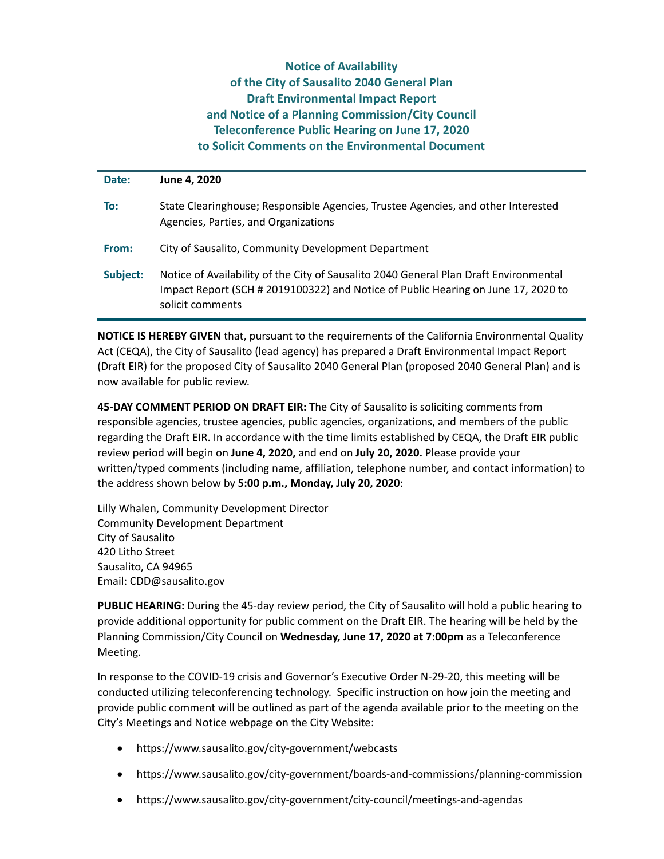## **Notice of Availability of the City of Sausalito 2040 General Plan Draft Environmental Impact Report and Notice of a Planning Commission/City Council Teleconference Public Hearing on June 17, 2020 to Solicit Comments on the Environmental Document**

| Date:    | June 4, 2020                                                                                                                                                                                   |
|----------|------------------------------------------------------------------------------------------------------------------------------------------------------------------------------------------------|
| To:      | State Clearinghouse; Responsible Agencies, Trustee Agencies, and other Interested<br>Agencies, Parties, and Organizations                                                                      |
| From:    | City of Sausalito, Community Development Department                                                                                                                                            |
| Subject: | Notice of Availability of the City of Sausalito 2040 General Plan Draft Environmental<br>Impact Report (SCH # 2019100322) and Notice of Public Hearing on June 17, 2020 to<br>solicit comments |

**NOTICE IS HEREBY GIVEN** that, pursuant to the requirements of the California Environmental Quality Act (CEQA), the City of Sausalito (lead agency) has prepared a Draft Environmental Impact Report (Draft EIR) for the proposed City of Sausalito 2040 General Plan (proposed 2040 General Plan) and is now available for public review.

**45‐DAY COMMENT PERIOD ON DRAFT EIR:** The City of Sausalito is soliciting comments from responsible agencies, trustee agencies, public agencies, organizations, and members of the public regarding the Draft EIR. In accordance with the time limits established by CEQA, the Draft EIR public review period will begin on **June 4, 2020,** and end on **July 20, 2020.** Please provide your written/typed comments (including name, affiliation, telephone number, and contact information) to the address shown below by **5:00 p.m., Monday, July 20, 2020**:

Lilly Whalen, Community Development Director Community Development Department City of Sausalito 420 Litho Street Sausalito, CA 94965 Email: CDD@sausalito.gov

**PUBLIC HEARING:** During the 45‐day review period, the City of Sausalito will hold a public hearing to provide additional opportunity for public comment on the Draft EIR. The hearing will be held by the Planning Commission/City Council on **Wednesday, June 17, 2020 at 7:00pm** as a Teleconference Meeting.

In response to the COVID‐19 crisis and Governor's Executive Order N‐29‐20, this meeting will be conducted utilizing teleconferencing technology. Specific instruction on how join the meeting and provide public comment will be outlined as part of the agenda available prior to the meeting on the City's Meetings and Notice webpage on the City Website:

- https://www.sausalito.gov/city‐government/webcasts
- https://www.sausalito.gov/city‐government/boards‐and‐commissions/planning‐commission
- https://www.sausalito.gov/city‐government/city‐council/meetings‐and‐agendas